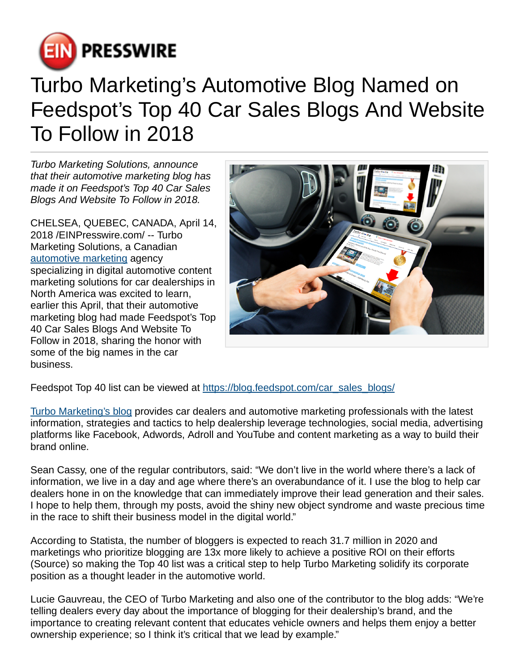

## Turbo Marketing's Automotive Blog Named on Feedspot's Top 40 Car Sales Blogs And Website To Follow in 2018

Turbo Marketing Solutions, announce that their automotive marketing blog has made it on Feedspot's Top 40 Car Sales Blogs And Website To Follow in 2018.

CHELSEA, QUEBEC, CANADA, April 14, 2018 [/EINPresswire.com](http://www.einpresswire.com)/ -- Turbo Marketing Solutions, a Canadian [automotive marketing](https://www.turbomarketingsolutions.com) agency specializing in digital automotive content marketing solutions for car dealerships in North America was excited to learn, earlier this April, that their automotive marketing blog had made Feedspot's Top 40 Car Sales Blogs And Website To Follow in 2018, sharing the honor with some of the big names in the car business.



Feedspot Top 40 list can be viewed at https://blog.feedspot.com/car\_sales\_blogs/

[Turbo Marketing's blog](https://www.turbomarketingsolutions.com/blog) provides car dealers and automotive marketing professionals with the latest information, strategies and tactics to help dealership leverage technologies, social media, advertising platforms like Facebook, Adwords, Adroll and YouTube and content marketing as a way to build their brand online.

Sean Cassy, one of the regular contributors, said: "We don't live in the world where there's a lack of information, we live in a day and age where there's an overabundance of it. I use the blog to help car dealers hone in on the knowledge that can immediately improve their lead generation and their sales. I hope to help them, through my posts, avoid the shiny new object syndrome and waste precious time in the race to shift their business model in the digital world."

According to Statista, the number of bloggers is expected to reach 31.7 million in 2020 and marketings who prioritize blogging are 13x more likely to achieve a positive ROI on their efforts (Source) so making the Top 40 list was a critical step to help Turbo Marketing solidify its corporate position as a thought leader in the automotive world.

Lucie Gauvreau, the CEO of Turbo Marketing and also one of the contributor to the blog adds: "We're telling dealers every day about the importance of blogging for their dealership's brand, and the importance to creating relevant content that educates vehicle owners and helps them enjoy a better ownership experience; so I think it's critical that we lead by example."